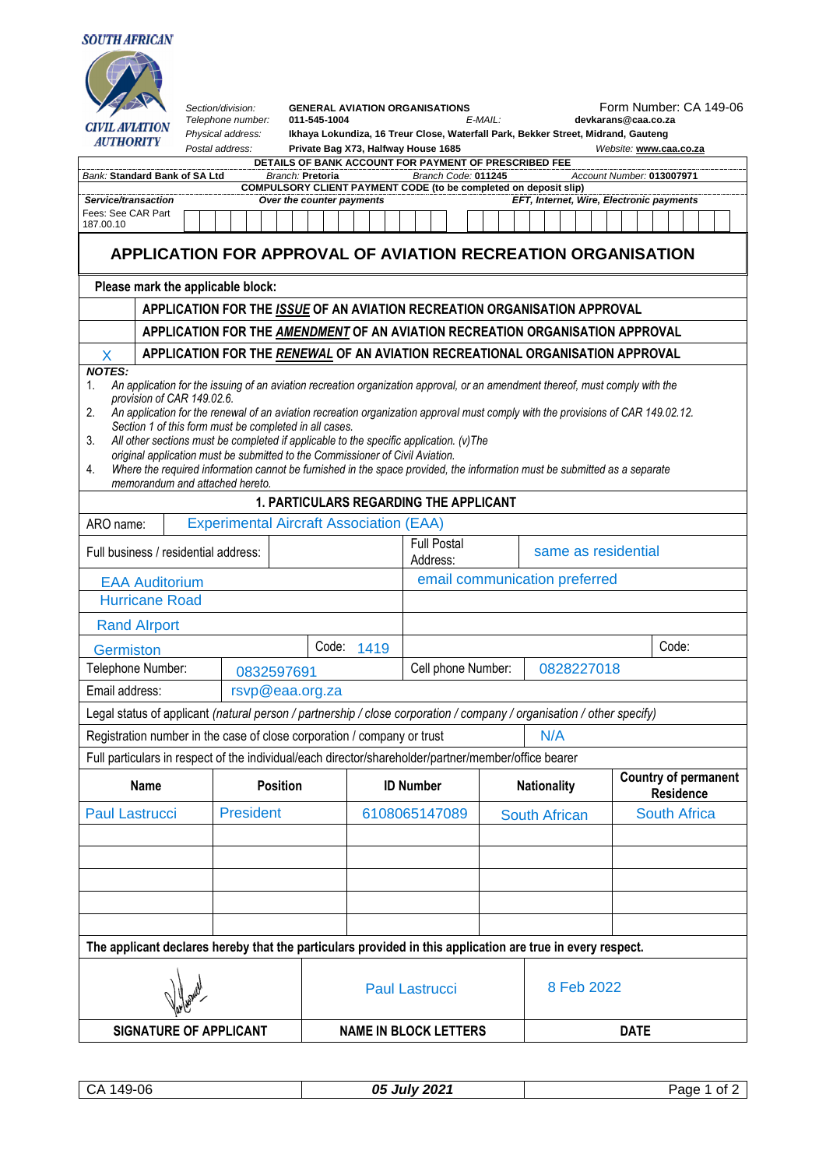## **SOUTH AFRICAN**

| <b>CIVIL AVIATION</b><br><b>AUTHORITY</b><br>Bank: Standard Bank of SA Ltd<br>Service/transaction<br>Fees: See CAR Part |                                                                                                                                                                                                                                                                                                                                                                                                                                                                                                                                                                                                                                                                          | Section/division:<br>Telephone number:<br>Physical address:<br>Postal address: |  |                  |  | DETAILS OF BANK ACCOUNT FOR PAYMENT OF PRESCRIBED FEE<br>Branch: Pretoria<br><b>COMPULSORY CLIENT PAYMENT CODE (to be completed on deposit slip)</b><br>Over the counter payments | <b>GENERAL AVIATION ORGANISATIONS</b><br>011-545-1004<br>Ikhaya Lokundiza, 16 Treur Close, Waterfall Park, Bekker Street, Midrand, Gauteng<br>Private Bag X73, Halfway House 1685 |                              |  |               |                                  |                  | Branch Code: 011245           |  | $E$ -MAIL:         |                      |  |       |     |  |                                                 |                     | devkarans@caa.co.za |  | Website: www.caa.co.za<br>Account Number: 013007971<br>EFT, Internet, Wire, Electronic payments |  |  | Form Number: CA 149-06 |
|-------------------------------------------------------------------------------------------------------------------------|--------------------------------------------------------------------------------------------------------------------------------------------------------------------------------------------------------------------------------------------------------------------------------------------------------------------------------------------------------------------------------------------------------------------------------------------------------------------------------------------------------------------------------------------------------------------------------------------------------------------------------------------------------------------------|--------------------------------------------------------------------------------|--|------------------|--|-----------------------------------------------------------------------------------------------------------------------------------------------------------------------------------|-----------------------------------------------------------------------------------------------------------------------------------------------------------------------------------|------------------------------|--|---------------|----------------------------------|------------------|-------------------------------|--|--------------------|----------------------|--|-------|-----|--|-------------------------------------------------|---------------------|---------------------|--|-------------------------------------------------------------------------------------------------|--|--|------------------------|
| 187.00.10                                                                                                               |                                                                                                                                                                                                                                                                                                                                                                                                                                                                                                                                                                                                                                                                          | APPLICATION FOR APPROVAL OF AVIATION RECREATION ORGANISATION                   |  |                  |  |                                                                                                                                                                                   |                                                                                                                                                                                   |                              |  |               |                                  |                  |                               |  |                    |                      |  |       |     |  |                                                 |                     |                     |  |                                                                                                 |  |  |                        |
|                                                                                                                         |                                                                                                                                                                                                                                                                                                                                                                                                                                                                                                                                                                                                                                                                          |                                                                                |  |                  |  |                                                                                                                                                                                   |                                                                                                                                                                                   |                              |  |               |                                  |                  |                               |  |                    |                      |  |       |     |  |                                                 |                     |                     |  |                                                                                                 |  |  |                        |
|                                                                                                                         | Please mark the applicable block:<br>APPLICATION FOR THE ISSUE OF AN AVIATION RECREATION ORGANISATION APPROVAL                                                                                                                                                                                                                                                                                                                                                                                                                                                                                                                                                           |                                                                                |  |                  |  |                                                                                                                                                                                   |                                                                                                                                                                                   |                              |  |               |                                  |                  |                               |  |                    |                      |  |       |     |  |                                                 |                     |                     |  |                                                                                                 |  |  |                        |
|                                                                                                                         | APPLICATION FOR THE AMENDMENT OF AN AVIATION RECREATION ORGANISATION APPROVAL                                                                                                                                                                                                                                                                                                                                                                                                                                                                                                                                                                                            |                                                                                |  |                  |  |                                                                                                                                                                                   |                                                                                                                                                                                   |                              |  |               |                                  |                  |                               |  |                    |                      |  |       |     |  |                                                 |                     |                     |  |                                                                                                 |  |  |                        |
|                                                                                                                         |                                                                                                                                                                                                                                                                                                                                                                                                                                                                                                                                                                                                                                                                          | APPLICATION FOR THE RENEWAL OF AN AVIATION RECREATIONAL ORGANISATION APPROVAL  |  |                  |  |                                                                                                                                                                                   |                                                                                                                                                                                   |                              |  |               |                                  |                  |                               |  |                    |                      |  |       |     |  |                                                 |                     |                     |  |                                                                                                 |  |  |                        |
| X<br><b>NOTES:</b>                                                                                                      |                                                                                                                                                                                                                                                                                                                                                                                                                                                                                                                                                                                                                                                                          |                                                                                |  |                  |  |                                                                                                                                                                                   |                                                                                                                                                                                   |                              |  |               |                                  |                  |                               |  |                    |                      |  |       |     |  |                                                 |                     |                     |  |                                                                                                 |  |  |                        |
| 2.<br>3.<br>4.<br>memorandum and attached hereto.                                                                       | An application for the issuing of an aviation recreation organization approval, or an amendment thereof, must comply with the<br>1.<br>provision of CAR 149.02.6.<br>An application for the renewal of an aviation recreation organization approval must comply with the provisions of CAR 149.02.12.<br>Section 1 of this form must be completed in all cases.<br>All other sections must be completed if applicable to the specific application. (v) The<br>original application must be submitted to the Commissioner of Civil Aviation.<br>Where the required information cannot be furnished in the space provided, the information must be submitted as a separate |                                                                                |  |                  |  |                                                                                                                                                                                   |                                                                                                                                                                                   |                              |  |               |                                  |                  |                               |  |                    |                      |  |       |     |  |                                                 |                     |                     |  |                                                                                                 |  |  |                        |
|                                                                                                                         |                                                                                                                                                                                                                                                                                                                                                                                                                                                                                                                                                                                                                                                                          |                                                                                |  |                  |  | 1. PARTICULARS REGARDING THE APPLICANT                                                                                                                                            |                                                                                                                                                                                   |                              |  |               |                                  |                  |                               |  |                    |                      |  |       |     |  |                                                 |                     |                     |  |                                                                                                 |  |  |                        |
| ARO name:                                                                                                               |                                                                                                                                                                                                                                                                                                                                                                                                                                                                                                                                                                                                                                                                          | <b>Experimental Aircraft Association (EAA)</b>                                 |  |                  |  |                                                                                                                                                                                   |                                                                                                                                                                                   |                              |  |               |                                  |                  |                               |  |                    |                      |  |       |     |  |                                                 |                     |                     |  |                                                                                                 |  |  |                        |
|                                                                                                                         | <b>Full Postal</b><br>same as residential<br>Full business / residential address:<br>Address:                                                                                                                                                                                                                                                                                                                                                                                                                                                                                                                                                                            |                                                                                |  |                  |  |                                                                                                                                                                                   |                                                                                                                                                                                   |                              |  |               |                                  |                  |                               |  |                    |                      |  |       |     |  |                                                 |                     |                     |  |                                                                                                 |  |  |                        |
| <b>EAA Auditorium</b>                                                                                                   |                                                                                                                                                                                                                                                                                                                                                                                                                                                                                                                                                                                                                                                                          |                                                                                |  |                  |  |                                                                                                                                                                                   |                                                                                                                                                                                   |                              |  |               |                                  |                  | email communication preferred |  |                    |                      |  |       |     |  |                                                 |                     |                     |  |                                                                                                 |  |  |                        |
| <b>Hurricane Road</b>                                                                                                   |                                                                                                                                                                                                                                                                                                                                                                                                                                                                                                                                                                                                                                                                          |                                                                                |  |                  |  |                                                                                                                                                                                   |                                                                                                                                                                                   |                              |  |               |                                  |                  |                               |  |                    |                      |  |       |     |  |                                                 |                     |                     |  |                                                                                                 |  |  |                        |
| <b>Rand Alrport</b>                                                                                                     |                                                                                                                                                                                                                                                                                                                                                                                                                                                                                                                                                                                                                                                                          |                                                                                |  |                  |  |                                                                                                                                                                                   |                                                                                                                                                                                   |                              |  |               |                                  |                  |                               |  |                    |                      |  |       |     |  |                                                 |                     |                     |  |                                                                                                 |  |  |                        |
| Germiston                                                                                                               |                                                                                                                                                                                                                                                                                                                                                                                                                                                                                                                                                                                                                                                                          |                                                                                |  |                  |  | Code:<br>1419                                                                                                                                                                     |                                                                                                                                                                                   |                              |  |               |                                  |                  |                               |  |                    |                      |  | Code: |     |  |                                                 |                     |                     |  |                                                                                                 |  |  |                        |
|                                                                                                                         | Telephone Number:<br>0832597691                                                                                                                                                                                                                                                                                                                                                                                                                                                                                                                                                                                                                                          |                                                                                |  |                  |  |                                                                                                                                                                                   |                                                                                                                                                                                   |                              |  |               | 0828227018<br>Cell phone Number: |                  |                               |  |                    |                      |  |       |     |  |                                                 |                     |                     |  |                                                                                                 |  |  |                        |
| Email address:                                                                                                          |                                                                                                                                                                                                                                                                                                                                                                                                                                                                                                                                                                                                                                                                          |                                                                                |  |                  |  | rsvp@eaa.org.za                                                                                                                                                                   |                                                                                                                                                                                   |                              |  |               |                                  |                  |                               |  |                    |                      |  |       |     |  |                                                 |                     |                     |  |                                                                                                 |  |  |                        |
| Legal status of applicant (natural person / partnership / close corporation / company / organisation / other specify)   |                                                                                                                                                                                                                                                                                                                                                                                                                                                                                                                                                                                                                                                                          |                                                                                |  |                  |  |                                                                                                                                                                                   |                                                                                                                                                                                   |                              |  |               |                                  |                  |                               |  |                    |                      |  |       |     |  |                                                 |                     |                     |  |                                                                                                 |  |  |                        |
| Registration number in the case of close corporation / company or trust                                                 |                                                                                                                                                                                                                                                                                                                                                                                                                                                                                                                                                                                                                                                                          |                                                                                |  |                  |  |                                                                                                                                                                                   |                                                                                                                                                                                   |                              |  |               |                                  |                  |                               |  |                    |                      |  |       | N/A |  |                                                 |                     |                     |  |                                                                                                 |  |  |                        |
| Full particulars in respect of the individual/each director/shareholder/partner/member/office bearer                    |                                                                                                                                                                                                                                                                                                                                                                                                                                                                                                                                                                                                                                                                          |                                                                                |  |                  |  |                                                                                                                                                                                   |                                                                                                                                                                                   |                              |  |               |                                  |                  |                               |  |                    |                      |  |       |     |  |                                                 |                     |                     |  |                                                                                                 |  |  |                        |
|                                                                                                                         | Name                                                                                                                                                                                                                                                                                                                                                                                                                                                                                                                                                                                                                                                                     |                                                                                |  | <b>Position</b>  |  |                                                                                                                                                                                   |                                                                                                                                                                                   |                              |  |               |                                  | <b>ID Number</b> |                               |  | <b>Nationality</b> |                      |  |       |     |  | <b>Country of permanent</b><br><b>Residence</b> |                     |                     |  |                                                                                                 |  |  |                        |
|                                                                                                                         | <b>Paul Lastrucci</b>                                                                                                                                                                                                                                                                                                                                                                                                                                                                                                                                                                                                                                                    |                                                                                |  | <b>President</b> |  |                                                                                                                                                                                   |                                                                                                                                                                                   |                              |  | 6108065147089 |                                  |                  |                               |  |                    | <b>South African</b> |  |       |     |  |                                                 | <b>South Africa</b> |                     |  |                                                                                                 |  |  |                        |
|                                                                                                                         |                                                                                                                                                                                                                                                                                                                                                                                                                                                                                                                                                                                                                                                                          |                                                                                |  |                  |  |                                                                                                                                                                                   |                                                                                                                                                                                   |                              |  |               |                                  |                  |                               |  |                    |                      |  |       |     |  |                                                 |                     |                     |  |                                                                                                 |  |  |                        |
|                                                                                                                         |                                                                                                                                                                                                                                                                                                                                                                                                                                                                                                                                                                                                                                                                          |                                                                                |  |                  |  |                                                                                                                                                                                   |                                                                                                                                                                                   |                              |  |               |                                  |                  |                               |  |                    |                      |  |       |     |  |                                                 |                     |                     |  |                                                                                                 |  |  |                        |
|                                                                                                                         |                                                                                                                                                                                                                                                                                                                                                                                                                                                                                                                                                                                                                                                                          |                                                                                |  |                  |  |                                                                                                                                                                                   |                                                                                                                                                                                   |                              |  |               |                                  |                  |                               |  |                    |                      |  |       |     |  |                                                 |                     |                     |  |                                                                                                 |  |  |                        |
|                                                                                                                         |                                                                                                                                                                                                                                                                                                                                                                                                                                                                                                                                                                                                                                                                          |                                                                                |  |                  |  |                                                                                                                                                                                   |                                                                                                                                                                                   |                              |  |               |                                  |                  |                               |  |                    |                      |  |       |     |  |                                                 |                     |                     |  |                                                                                                 |  |  |                        |
|                                                                                                                         |                                                                                                                                                                                                                                                                                                                                                                                                                                                                                                                                                                                                                                                                          |                                                                                |  |                  |  |                                                                                                                                                                                   |                                                                                                                                                                                   |                              |  |               |                                  |                  |                               |  |                    |                      |  |       |     |  |                                                 |                     |                     |  |                                                                                                 |  |  |                        |
| The applicant declares hereby that the particulars provided in this application are true in every respect.              |                                                                                                                                                                                                                                                                                                                                                                                                                                                                                                                                                                                                                                                                          |                                                                                |  |                  |  |                                                                                                                                                                                   |                                                                                                                                                                                   |                              |  |               |                                  |                  |                               |  |                    |                      |  |       |     |  |                                                 |                     |                     |  |                                                                                                 |  |  |                        |
|                                                                                                                         |                                                                                                                                                                                                                                                                                                                                                                                                                                                                                                                                                                                                                                                                          |                                                                                |  |                  |  | <b>Paul Lastrucci</b>                                                                                                                                                             |                                                                                                                                                                                   |                              |  |               |                                  |                  | 8 Feb 2022                    |  |                    |                      |  |       |     |  |                                                 |                     |                     |  |                                                                                                 |  |  |                        |
|                                                                                                                         |                                                                                                                                                                                                                                                                                                                                                                                                                                                                                                                                                                                                                                                                          | SIGNATURE OF APPLICANT                                                         |  |                  |  |                                                                                                                                                                                   |                                                                                                                                                                                   | <b>NAME IN BLOCK LETTERS</b> |  |               |                                  |                  |                               |  | <b>DATE</b>        |                      |  |       |     |  |                                                 |                     |                     |  |                                                                                                 |  |  |                        |